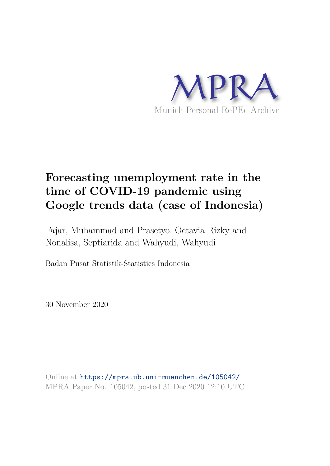

# **Forecasting unemployment rate in the time of COVID-19 pandemic using Google trends data (case of Indonesia)**

Fajar, Muhammad and Prasetyo, Octavia Rizky and Nonalisa, Septiarida and Wahyudi, Wahyudi

Badan Pusat Statistik-Statistics Indonesia

30 November 2020

Online at https://mpra.ub.uni-muenchen.de/105042/ MPRA Paper No. 105042, posted 31 Dec 2020 12:10 UTC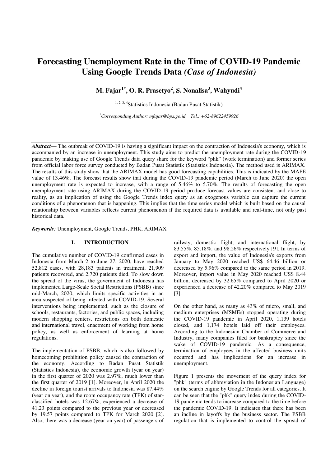# **Forecasting Unemployment Rate in the Time of COVID-19 Pandemic Using Google Trends Data** *(Case of Indonesia)*

**M. Fajar1\*, O. R. Prasetyo<sup>2</sup> , S. Nonalisa<sup>3</sup> , Wahyudi<sup>4</sup>**

1, 2, 3, 4Statistics Indonesia (Badan Pusat Statistik)

*\*Corresponding Author: mfajar@bps.go.id, Tel.: +62-89622459926*

*Abstract*— The outbreak of COVID-19 is having a significant impact on the contraction of Indonesia's economy, which is accompanied by an increase in unemployment. This study aims to predict the unemployment rate during the COVID-19 pandemic by making use of Google Trends data query share for the keyword "phk" (work termination) and former series from official labor force survey conducted by Badan Pusat Statistik (Statistics Indonesia). The method used is ARIMAX. The results of this study show that the ARIMAX model has good forecasting capabilities. This is indicated by the MAPE value of 13.46%. The forecast results show that during the COVID-19 pandemic period (March to June 2020) the open unemployment rate is expected to increase, with a range of 5.46% to 5.70%. The results of forecasting the open unemployment rate using ARIMAX during the COVID-19 period produce forecast values are consistent and close to reality, as an implication of using the Google Trends index query as an exogenous variable can capture the current conditions of a phenomenon that is happening. This implies that the time series model which is built based on the causal relationship between variables reflects current phenomenon if the required data is available and real-time, not only past historical data.

*Keywords:* Unemployment, Google Trends, PHK, ARIMAX

### **I. INTRODUCTION**

The cumulative number of COVID-19 confirmed cases in Indonesia from March 2 to June 27, 2020, have reached 52,812 cases, with 28,183 patients in treatment, 21,909 patients recovered, and 2,720 patients died. To slow down the spread of the virus, the government of Indonesia has implemented Large-Scale Social Restrictions (PSBB) since mid-March, 2020, which limits specific activities in an area suspected of being infected with COVID-19. Several interventions being implemented, such as the closure of schools, restaurants, factories, and public spaces, including modern shopping centers, restrictions on both domestic and international travel, enactment of working from home policy, as well as enforcement of learning at home regulations.

The implementation of PSBB, which is also followed by homecoming prohibition policy caused the contraction of the economy. According to Badan Pusat Statistik (Statistics Indonesia), the economic growth (year on year) in the first quarter of 2020 was 2.97%, much lower than the first quarter of 2019 [1]. Moreover, in April 2020 the decline in foreign tourist arrivals to Indonesia was 87.44% (year on year), and the room occupancy rate (TPK) of starclassified hotels was 12.67%, experienced a decrease of 41.23 points compared to the previous year or decreased by 19.57 points compared to TPK for March 2020 [2]. Also, there was a decrease (year on year) of passengers of railway, domestic flight, and international flight, by 83.55%, 85.18%, and 98.26% respectively [9]. In terms of export and import, the value of Indonesia's exports from January to May 2020 reached US\$ 64.46 billion or decreased by 5.96% compared to the same period in 2019. Moreover, import value in May 2020 reached US\$ 8.44 billion, decreased by 32.65% compared to April 2020 or experienced a decrease of 42.20% compared to May 2019 [3].

On the other hand, as many as 43% of micro, small, and medium enterprises (MSMEs) stopped operating during the COVID-19 pandemic in April 2020, 1,139 hotels closed, and 1,174 hotels laid off their employees. According to the Indonesian Chamber of Commerce and Industry, many companies filed for bankruptcy since the wake of COVID-19 pandemic. As a consequence, termination of employees in the affected business units occurred and has implications for an increase in unemployment.

Figure 1 presents the movement of the query index for "phk" (terms of abbreviation in the Indonesian Language) on the search engine by Google Trends for all categories. It can be seen that the "phk" query index during the COVID-19 pandemic tends to increase compared to the time before the pandemic COVID-19. It indicates that there has been an incline in layoffs by the business sector. The PSBB regulation that is implemented to control the spread of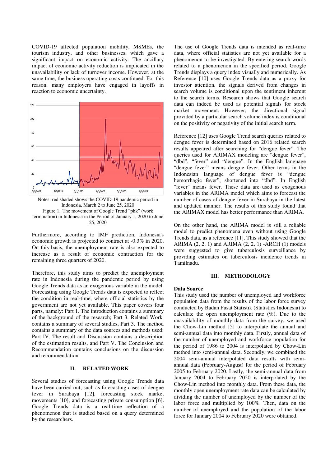COVID-19 affected population mobility, MSMEs, the tourism industry, and other businesses, which gave a significant impact on economic activity. The ancillary impact of economic activity reduction is implicated in the unavailability or lack of turnover income. However, at the same time, the business operating costs continued. For this reason, many employers have engaged in layoffs in reaction to economic uncertainty.



Notes: red shaded shows the COVID-19 pandemic period in Indonesia, March 2 to June 25, 2020 Figure 1. The movement of Google Trend "phk" (work termination) in Indonesia in the Period of January 1, 2020 to June 25, 2020

Furthermore, according to IMF prediction, Indonesia's economic growth is projected to contract at -0.3% in 2020. On this basis, the unemployment rate is also expected to increase as a result of economic contraction for the remaining three quarters of 2020.

Therefore, this study aims to predict the unemployment rate in Indonesia during the pandemic period by using Google Trends data as an exogenous variable in the model. Forecasting using Google Trends data is expected to reflect the condition in real-time, where official statistics by the government are not yet available. This paper covers four parts, namely: Part 1. The introduction contains a summary of the background of the research; Part 3. Related Work, contains a summary of several studies, Part 3. The method contains a summary of the data sources and methods used; Part IV. The result and Discussion contains a description of the estimation results, and Part V. The Conclusion and Recommendation contains conclusions on the discussion and recommendation.

## **II. RELATED WORK**

Several studies of forecasting using Google Trends data have been carried out, such as forecasting cases of dengue fever in Surabaya [12], forecasting stock market movements [10], and forecasting private consumption [6]. Google Trends data is a real-time reflection of a phenomenon that is studied based on a query determined by the researchers.

The use of Google Trends data is intended as real-time data, where official statistics are not yet available for a phenomenon to be investigated. By entering search words related to a phenomenon in the specified period, Google Trends displays a query index visually and numerically. As Reference [10] uses Google Trends data as a proxy for investor attention, the signals derived from changes in search volume is conditional upon the sentiment inherent to the search terms. Research shows that Google search data can indeed be used as potential signals for stock market movement. However, the directional signal provided by a particular search volume index is conditional on the positivity or negativity of the initial search term.

Reference [12] uses Google Trend search queries related to dengue fever is determined based on 2016 related search results appeared after searching for "dengue fever". The queries used for ARIMAX modeling are "dengue fever", "dbd", "fever" and "dengue". In the English language "dengue fever" means dengue fever. Other terms in the Indonesian language of dengue fever is "dengue hemorrhagic fever", shortened into "dbd". In English "fever" means fever. These data are used as exogenous variables in the ARIMA model which aims to forecast the number of cases of dengue fever in Surabaya in the latest and updated manner. The results of this study found that the ARIMAX model has better performance than ARIMA.

On the other hand, the ARIMA model is still a reliable model to predict phenomena even without using Google Trends data, as a reference [11]. This study showed that the ARIMA  $(2, 2, 1)$  and ARIMA  $(2, 2, 1)$  -ARCH  $(1)$  models were suggested to give tuberculosis surveillance by providing estimates on tuberculosis incidence trends in Tamilnadu.

#### **III. METHODOLOGY**

#### **Data Source**

This study used the number of unemployed and workforce population data from the results of the labor force survey conducted by Badan Pusat Statistik (Statistics Indonesia) to calculate the open unemployment rate (%). Due to the unavailability of monthly data from the survey, we used the Chow-Lin method [5] to interpolate the annual and semi-annual data into monthly data. Firstly, annual data of the number of unemployed and workforce population for the period of 1986 to 2004 is interpolated by Chow-Lin method into semi-annual data. Secondly, we combined the 2004 semi-annual interpolated data results with semiannual data (February-August) for the period of February 2005 to February 2020. Lastly, the semi-annual data from January 2004 to February 2020 is interpolated by the Chow-Lin method into monthly data. From these data, the monthly open unemployment rate data can be calculated by dividing the number of unemployed by the number of the labor force and multiplied by 100%. Then, data on the number of unemployed and the population of the labor force for January 2004 to February 2020 were obtained.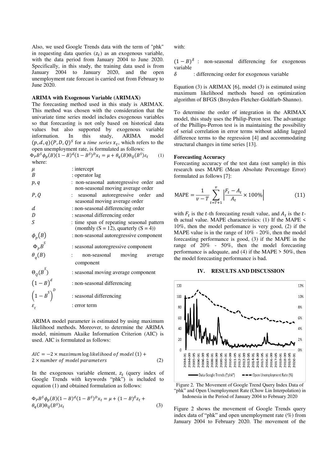Also, we used Google Trends data with the term of "phk" in requesting data queries  $(z_t)$  as an exogenous variable, with the data period from January 2004 to June 2020. Specifically, in this study, the training data used is from January 2004 to January 2020, and the open unemployment rate forecast is carried out from February to June 2020.

#### **ARIMA with Exogenous Variable (ARIMAX)**

The forecasting method used in this study is ARIMAX. This method was chosen with the consideration that the univariate time series model includes exogenous variables so that forecasting is not only based on historical data values but also supported by exogenous variable information. In this study, ARIMA model  $(p, d, q)$  $(P, D, Q)$ <sup>S</sup> for a *time series*  $x_t$ , which refers to the open unemployment rate, is formulated as follows:

$$
\Phi_P B^S \phi_p(B) (1 - B)^d (1 - B^S)^D x_t = \mu + \theta_q(B) \Theta_Q(B^S) \varepsilon_t \tag{1}
$$
  
where:

| $\mu$                              | : intercept                                                                              |  |  |  |  |
|------------------------------------|------------------------------------------------------------------------------------------|--|--|--|--|
| B                                  | : operator lag                                                                           |  |  |  |  |
| p, q                               | : non-seasonal autoregressive order and<br>non-seasonal moving average order             |  |  |  |  |
| P, Q                               | : seasonal autoregressive order and<br>seasonal moving average order                     |  |  |  |  |
| $\boldsymbol{d}$                   | : non-seasonal differencing order                                                        |  |  |  |  |
| D                                  | : seasonal differencing order                                                            |  |  |  |  |
| S                                  | : time span of repeating seasonal pattern<br>(monthly $(S = 12)$ , quarterly $(S = 4)$ ) |  |  |  |  |
| $\phi_p(B)$                        | : non-seasonal autoregressive component                                                  |  |  |  |  |
| $\Phi_p B^S$                       | : seasonal autoregressive component                                                      |  |  |  |  |
| $\theta$ <sub>a</sub> $(B)$        | non-seasonal moving average<br>component                                                 |  |  |  |  |
| $\Theta_{Q}(B^{S})$<br>$(1-B)^{d}$ | : seasonal moving average component                                                      |  |  |  |  |
|                                    | : non-seasonal differencing                                                              |  |  |  |  |
| $\left(1-B^S\right)^D$             | : seasonal differencing                                                                  |  |  |  |  |
|                                    | : error term                                                                             |  |  |  |  |

ARIMA model parameter is estimated by using maximum likelihood methods. Moreover, to determine the ARIMA model, minimum Akaike Information Criterion (AIC) is used. AIC is formulated as follows:

$$
AIC = -2 \times maximum \log likelihood \text{ of model } (1) + 2 \times number \text{ of model parameters}
$$
\n(2)

In the exogenous variable element,  $z_t$  (query index of Google Trends with keywords "phk") is included to equation (1) and obtained formulation as follows:

$$
\Phi_p B^S \phi_p(B) (1 - B)^d (1 - B^S)^D x_t = \mu + (1 - B)^{\delta} z_t + \theta_q(B) \Theta_Q(B^S) \varepsilon_t
$$
\n
$$
(3)
$$

with:

 $(1-B)^{\delta}$ : non-seasonal differencing for exogenous variable

 $\delta$  : differencing order for exogenous variable

Equation (3) is ARIMAX [6], model (3) is estimated using maximum likelihood methods based on optimization algorithm of BFGS (Broyden-Fletcher-Goldfarb-Shanno).

To determine the order of integration in the ARIMAX model, this study uses the Philip-Peron test. The advantage of the Phillips-Perron test is in maintaining the possibility of serial correlation in error terms without adding lagged difference terms to the regression [4] and accommodating structural changes in time series [13].

#### **Forecasting Accuracy**

Forecasting accuracy of the test data (out sample) in this research uses MAPE (Mean Absolute Percentage Error) formulated as follows [7]:

$$
MAPE = \frac{1}{v - T} \sum_{t = T + 1}^{v} \left| \frac{F_t - A_t}{A_t} \times 100\% \right| \tag{11}
$$

with  $F_t$  is the t-th forecasting result value, and  $A_t$  is the tth actual value. MAPE characteristics: (1) If the MAPE < 10%, then the model perfomance is very good, (2) if the MAPE value is in the range of 10% - 20%, then the model forecasting performance is good, (3) if the MAPE in the range of 20% - 50%, then the model forecasting performance is adequate, and (4) if the MAPE > 50%, then the model forecasting performance is bad.

#### **IV. RESULTS AND DISCUSSION**



Figure 2. The Movement of Google Trend Query Index Data of "phk" and Open Unemployment Rate (Chow Lin Interpolation) in Indonesia in the Period of January 2004 to February 2020

Figure 2 shows the movement of Google Trends query index data of "phk" and open unemployment rate (%) from January 2004 to February 2020. The movement of the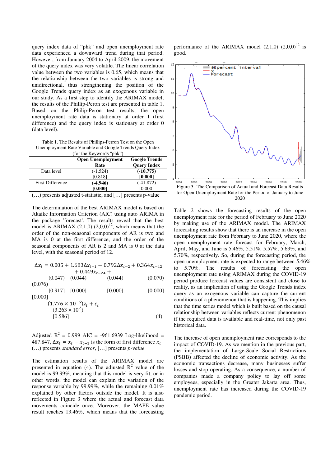query index data of "phk" and open unemployment rate data experienced a downward trend during that period. However, from January 2004 to April 2009, the movement of the query index was very volatile. The linear correlation value between the two variables is 0.65, which means that the relationship between the two variables is strong and unidirectional, thus strengthening the position of the Google Trends query index as an exogenous variable in our study. As a first step to identify the ARIMAX model, the results of the Phillip-Peron test are presented in table 1. Based on the Philip-Peron test results, the open unemployment rate data is stationary at order 1 (first difference) and the query index is stationary at order 0 (data level).

Table 1. The Results of Phillips-Perron Test on the Open Unemployment Rate Variable and Google Trends Query Index  $(for the Keyward's "nhk")$ 

|                         | <b>Open Unemployment</b><br>Rate | <b>Google Trends</b><br><b>Query Index</b> |
|-------------------------|----------------------------------|--------------------------------------------|
| Data level              | $(-1.524)$<br>[0.818]            | $(-10.775)$<br>[0.000]                     |
| <b>First Difference</b> | $(-4.946)$                       | $(-41.872)$                                |
|                         | [0.000]                          | [0.000]                                    |

(…) presents adjusted t-statistic, and […] presents p-value

The determination of the best ARIMAX model is based on Akaike Information Criterion (AIC) using auto ARIMA in the package 'forecast'. The results reveal that the best model is ARIMAX  $(2,1,0)$   $(2,0,0)^{12}$ , which means that the order of the non-seasonal components of AR is two and MA is 0 at the first difference, and the order of the seasonal components of AR is 2 and MA is 0 at the data level, with the seasonal period of 12.

$$
\Delta x_t = 0.005 + 1.683\Delta x_{t-1} - 0.792\Delta x_{t-2} + 0.364x_{t-12} + 0.449x_{t-24} +
$$

 $(0.047)$   $(0.044)$   $(0.044)$   $(0.070)$ (0.076)

 [0.917] [0.000] [0.000] [0.000] [0.000]

$$
(1.776 \times 10^{-5})z_t + \varepsilon_t
$$
  
(3.263 \times 10<sup>-5</sup>)  
[0.586] (4)

Adjusted  $R^2 = 0.999$  AIC = -961.6939 Log-likelihood = 487.847,  $\Delta x_t = x_t - x_{t-1}$  is the form of first difference  $x_t$ (…) presents *standard error*, […] presents *p-value* 

The estimation results of the ARIMAX model are presented in equation (4). The adjusted  $R^2$  value of the model is 99.99%, meaning that this model is very fit, or in other words, the model can explain the variation of the response variable by 99.99%, while the remaining 0.01% explained by other factors outside the model. It is also reflected in Figure 3 where the actual and forecast data movements coincide once. Moreover, the MAPE value result reaches 13.46%, which means that the forecasting

performance of the ARIMAX model  $(2,1,0)$   $(2,0,0)^{12}$  is good.



Table 2 shows the forecasting results of the open unemployment rate for the period of February to June 2020 by making use of the ARIMAX model. The ARIMAX forecasting results show that there is an increase in the open unemployment rate from February to June 2020, where the open unemployment rate forecast for February, March, April, May, and June is 5.46%, 5.51%, 5.57%, 5.63%, and 5.70%, respectively. So, during the forecasting period, the open unemployment rate is expected to range between 5.46% to 5.70%. The results of forecasting the open unemployment rate using ARIMAX during the COVID-19 period produce forecast values are consistent and close to reality, as an implication of using the Google Trends index query as an exogenous variable can capture the current conditions of a phenomenon that is happening. This implies that the time series model which is built based on the causal relationship between variables reflects current phenomenon if the required data is available and real-time, not only past historical data.

The increase of open unemployment rate corresponds to the impact of COVID-19. As we mention in the previous part, the implementation of Large-Scale Social Restrictions (PSBB) affected the decline of economic activity. As the economic transactions decrease, many businesses suffer losses and stop operating. As a consequence, a number of companies made a company policy to lay off some employees, especially in the Greater Jakarta area. Thus, unemployment rate has increased during the COVID-19 pandemic period.